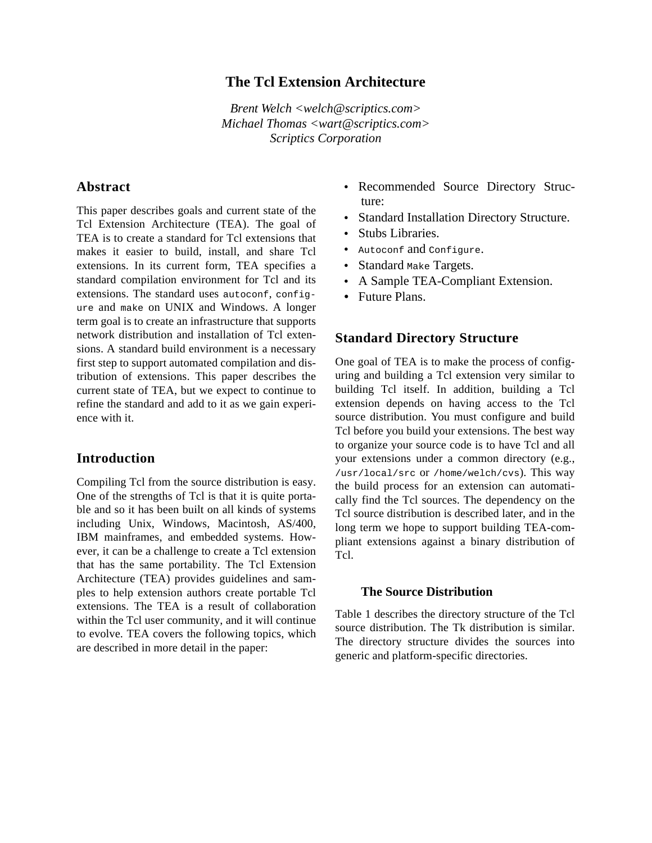## **The Tcl Extension Architecture**

*Brent Welch <welch@scriptics.com> Michael Thomas <wart@scriptics.com> Scriptics Corporation*

### **Abstract**

This paper describes goals and current state of the Tcl Extension Architecture (TEA). The goal of TEA is to create a standard for Tcl extensions that makes it easier to build, install, and share Tcl extensions. In its current form, TEA specifies a standard compilation environment for Tcl and its extensions. The standard uses autoconf, configure and make on UNIX and Windows. A longer term goal is to create an infrastructure that supports network distribution and installation of Tcl extensions. A standard build environment is a necessary first step to support automated compilation and distribution of extensions. This paper describes the current state of TEA, but we expect to continue to refine the standard and add to it as we gain experience with it.

### **Introduction**

Compiling Tcl from the source distribution is easy. One of the strengths of Tcl is that it is quite portable and so it has been built on all kinds of systems including Unix, Windows, Macintosh, AS/400, IBM mainframes, and embedded systems. However, it can be a challenge to create a Tcl extension that has the same portability. The Tcl Extension Architecture (TEA) provides guidelines and samples to help extension authors create portable Tcl extensions. The TEA is a result of collaboration within the Tcl user community, and it will continue to evolve. TEA covers the following topics, which are described in more detail in the paper:

- **•** Recommended Source Directory Structure:
- **•** Standard Installation Directory Structure.
- **•** Stubs Libraries.
- **•** Autoconf and Configure.
- Standard Make Targets.
- **•** A Sample TEA-Compliant Extension.
- **•** Future Plans.

#### **Standard Directory Structure**

One goal of TEA is to make the process of configuring and building a Tcl extension very similar to building Tcl itself. In addition, building a Tcl extension depends on having access to the Tcl source distribution. You must configure and build Tcl before you build your extensions. The best way to organize your source code is to have Tcl and all your extensions under a common directory (e.g., /usr/local/src or /home/welch/cvs). This way the build process for an extension can automatically find the Tcl sources. The dependency on the Tcl source distribution is described later, and in the long term we hope to support building TEA-compliant extensions against a binary distribution of Tcl.

#### **The Source Distribution**

Table 1 describes the directory structure of the Tcl source distribution. The Tk distribution is similar. The directory structure divides the sources into generic and platform-specific directories.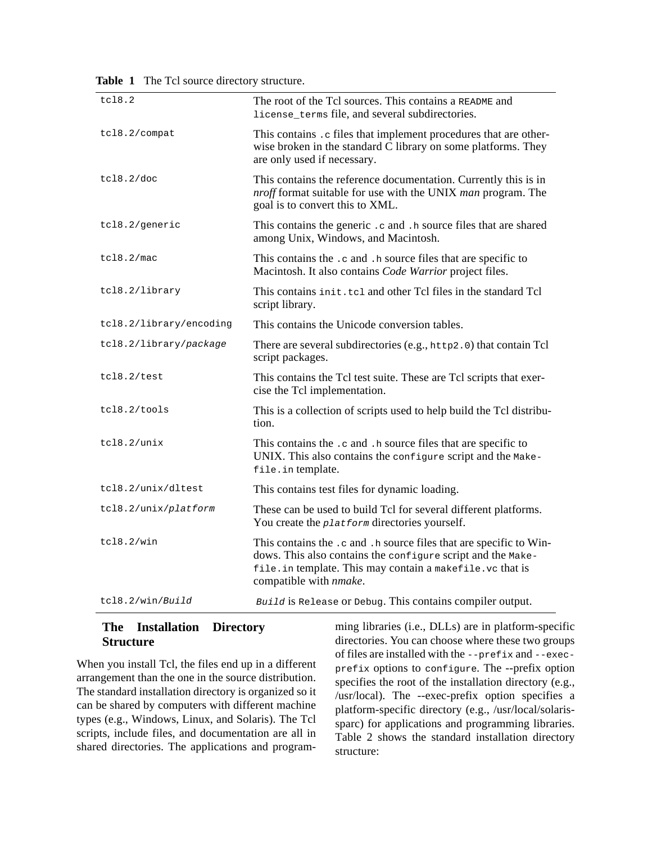| tc18.2                  | The root of the Tcl sources. This contains a README and<br>license_terms file, and several subdirectories.                                                                                                                        |
|-------------------------|-----------------------------------------------------------------------------------------------------------------------------------------------------------------------------------------------------------------------------------|
| tcl8.2/compat           | This contains . c files that implement procedures that are other-<br>wise broken in the standard C library on some platforms. They<br>are only used if necessary.                                                                 |
| tc18.2/doc              | This contains the reference documentation. Currently this is in<br><i>nroff</i> format suitable for use with the UNIX <i>man</i> program. The<br>goal is to convert this to XML.                                                  |
| tcl8.2/generic          | This contains the generic .c and .h source files that are shared<br>among Unix, Windows, and Macintosh.                                                                                                                           |
| tc18.2/mac              | This contains the .c and .h source files that are specific to<br>Macintosh. It also contains Code Warrior project files.                                                                                                          |
| tcl8.2/library          | This contains init.tcl and other Tcl files in the standard Tcl<br>script library.                                                                                                                                                 |
| tcl8.2/library/encoding | This contains the Unicode conversion tables.                                                                                                                                                                                      |
| tcl8.2/library/package  | There are several subdirectories (e.g., http2.0) that contain Tcl<br>script packages.                                                                                                                                             |
| tcl8.2/test             | This contains the Tcl test suite. These are Tcl scripts that exer-<br>cise the Tcl implementation.                                                                                                                                |
| tcl8.2/tools            | This is a collection of scripts used to help build the Tcl distribu-<br>tion.                                                                                                                                                     |
| tcl8.2/unix             | This contains the .c and .h source files that are specific to<br>UNIX. This also contains the configure script and the Make-<br>file.in template.                                                                                 |
| tcl8.2/unix/dltest      | This contains test files for dynamic loading.                                                                                                                                                                                     |
| tcl8.2/unix/platform    | These can be used to build Tcl for several different platforms.<br>You create the <i>platform</i> directories yourself.                                                                                                           |
| tcl8.2/win              | This contains the .c and .h source files that are specific to Win-<br>dows. This also contains the configure script and the Make-<br>file. in template. This may contain a makefile. vc that is<br>compatible with <i>nmake</i> . |
| tcl8.2/win/Build        | Build is Release or Debug. This contains compiler output.                                                                                                                                                                         |

**Table 1** The Tcl source directory structure.

### **The Installation Directory Structure**

When you install Tcl, the files end up in a different arrangement than the one in the source distribution. The standard installation directory is organized so it can be shared by computers with different machine types (e.g., Windows, Linux, and Solaris). The Tcl scripts, include files, and documentation are all in shared directories. The applications and program-

ming libraries (i.e., DLLs) are in platform-specific directories. You can choose where these two groups of files are installed with the --prefix and --execprefix options to configure. The --prefix option specifies the root of the installation directory (e.g., /usr/local). The --exec-prefix option specifies a platform-specific directory (e.g., /usr/local/solarissparc) for applications and programming libraries. Table 2 shows the standard installation directory structure: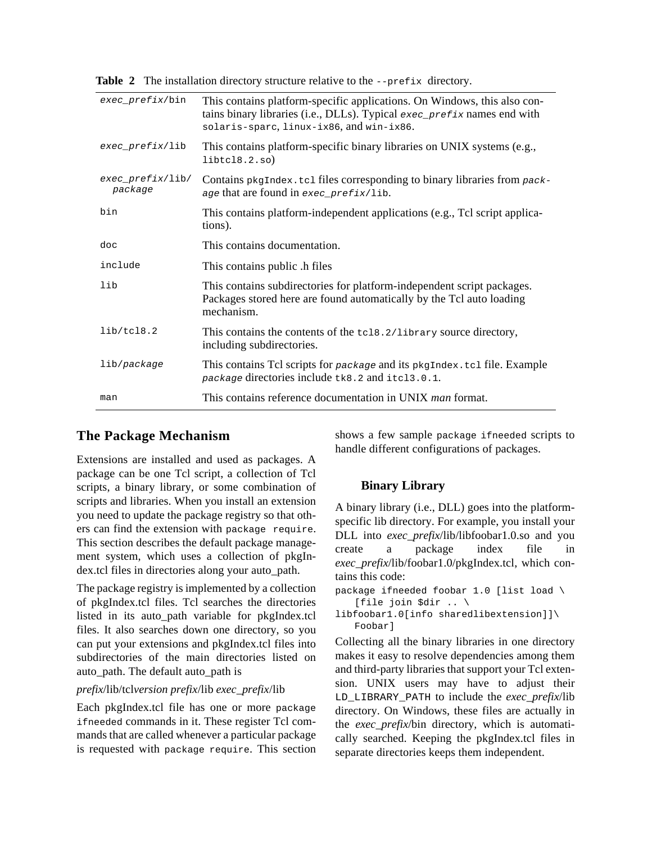Table 2 The installation directory structure relative to the --prefix directory.

| $exec\_prefix/bin$             | This contains platform-specific applications. On Windows, this also con-<br>tains binary libraries (i.e., DLLs). Typical exec_prefix names end with<br>solaris-sparc, linux-ix86, and win-ix86. |
|--------------------------------|-------------------------------------------------------------------------------------------------------------------------------------------------------------------------------------------------|
| exec_prefix/lib                | This contains platform-specific binary libraries on UNIX systems (e.g.,<br>libtcl8.2.so)                                                                                                        |
| $exec\_prefix/lib/$<br>package | Contains pkgIndex.tcl files corresponding to binary libraries from pack-<br>age that are found in exec_prefix/lib.                                                                              |
| bin                            | This contains platform-independent applications (e.g., Tcl script applica-<br>tions).                                                                                                           |
| doc                            | This contains documentation.                                                                                                                                                                    |
| include                        | This contains public .h files                                                                                                                                                                   |
| lib                            | This contains subdirectories for platform-independent script packages.<br>Packages stored here are found automatically by the Tcl auto loading<br>mechanism.                                    |
| lib/tcl8.2                     | This contains the contents of the tcl8.2/library source directory,<br>including subdirectories.                                                                                                 |
| lib/package                    | This contains Tcl scripts for package and its pkgIndex.tcl file. Example<br>package directories include tk8.2 and itcl3.0.1.                                                                    |
| man                            | This contains reference documentation in UNIX <i>man</i> format.                                                                                                                                |
|                                |                                                                                                                                                                                                 |

### **The Package Mechanism**

Extensions are installed and used as packages. A package can be one Tcl script, a collection of Tcl scripts, a binary library, or some combination of scripts and libraries. When you install an extension you need to update the package registry so that others can find the extension with package require. This section describes the default package management system, which uses a collection of pkgIndex.tcl files in directories along your auto\_path.

The package registry is implemented by a collection of pkgIndex.tcl files. Tcl searches the directories listed in its auto\_path variable for pkgIndex.tcl files. It also searches down one directory, so you can put your extensions and pkgIndex.tcl files into subdirectories of the main directories listed on auto\_path. The default auto\_path is

#### *prefix*/lib/tcl*version prefix*/lib *exec\_prefix*/lib

Each pkgIndex.tcl file has one or more package ifneeded commands in it. These register Tcl commands that are called whenever a particular package is requested with package require. This section shows a few sample package ifneeded scripts to handle different configurations of packages.

### **Binary Library**

A binary library (i.e., DLL) goes into the platformspecific lib directory. For example, you install your DLL into *exec\_prefix*/lib/libfoobar1.0.so and you create a package index file in *exec\_prefix*/lib/foobar1.0/pkgIndex.tcl, which contains this code:

package ifneeded foobar 1.0 [list load \ [file join \$dir .. \

libfoobar1.0[info sharedlibextension]]\ Foobar]

Collecting all the binary libraries in one directory makes it easy to resolve dependencies among them and third-party libraries that support your Tcl extension. UNIX users may have to adjust their LD\_LIBRARY\_PATH to include the *exec\_prefix*/lib directory. On Windows, these files are actually in the *exec\_prefix*/bin directory, which is automatically searched. Keeping the pkgIndex.tcl files in separate directories keeps them independent.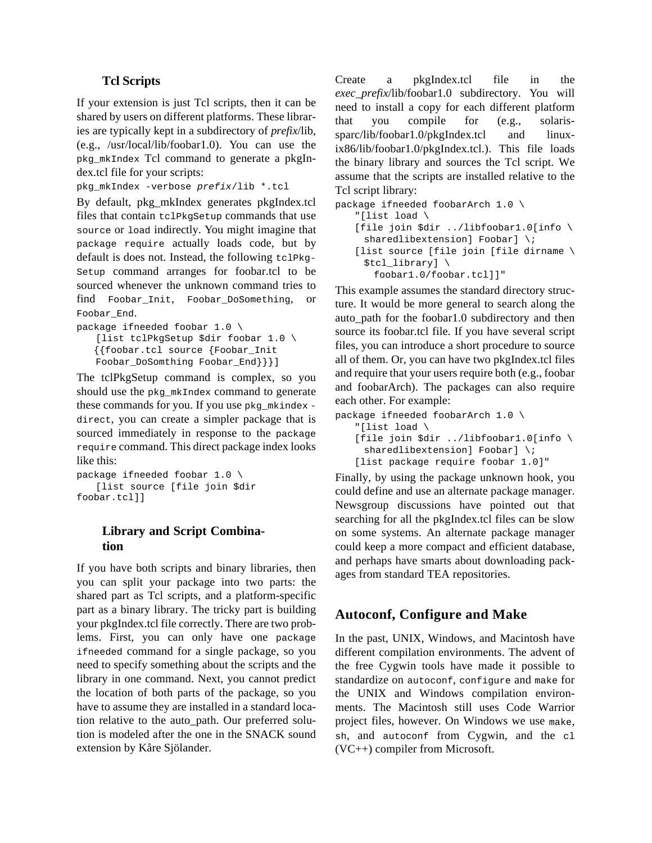### **Tcl Scripts**

If your extension is just Tcl scripts, then it can be shared by users on different platforms. These libraries are typically kept in a subdirectory of *prefix*/lib, (e.g., /usr/local/lib/foobar1.0). You can use the pkg\_mkIndex Tcl command to generate a pkgIndex.tcl file for your scripts:

```
pkg_mkIndex -verbose prefix/lib *.tcl
```
By default, pkg\_mkIndex generates pkgIndex.tcl files that contain tclPkgSetup commands that use source or load indirectly. You might imagine that package require actually loads code, but by default is does not. Instead, the following tclPkg-Setup command arranges for foobar.tcl to be sourced whenever the unknown command tries to find Foobar\_Init, Foobar\_DoSomething, or Foobar\_End.

```
package ifneeded foobar 1.0 \
   [list tclPkgSetup $dir foobar 1.0 \
   {{foobar.tcl source {Foobar_Init
   Foobar_DoSomthing Foobar_End}}}]
```
The tclPkgSetup command is complex, so you should use the pkg\_mkIndex command to generate these commands for you. If you use pkg\_mkindex direct, you can create a simpler package that is sourced immediately in response to the package require command. This direct package index looks like this:

```
package ifneeded foobar 1.0 \
   [list source [file join $dir 
foobar.tcl]]
```
### **Library and Script Combination**

If you have both scripts and binary libraries, then you can split your package into two parts: the shared part as Tcl scripts, and a platform-specific part as a binary library. The tricky part is building your pkgIndex.tcl file correctly. There are two problems. First, you can only have one package ifneeded command for a single package, so you need to specify something about the scripts and the library in one command. Next, you cannot predict the location of both parts of the package, so you have to assume they are installed in a standard location relative to the auto\_path. Our preferred solution is modeled after the one in the SNACK sound extension by Kåre Sjölander.

Create a pkgIndex.tcl file in the *exec\_prefix*/lib/foobar1.0 subdirectory. You will need to install a copy for each different platform that you compile for (e.g., solarissparc/lib/foobar1.0/pkgIndex.tcl and linuxix86/lib/foobar1.0/pkgIndex.tcl.). This file loads the binary library and sources the Tcl script. We assume that the scripts are installed relative to the Tcl script library:

```
package ifneeded foobarArch 1.0 \
   "[list load \
   [file join $dir ../libfoobar1.0[info \
     sharedlibextension] Foobar] \;
   [list source [file join [file dirname \
     $tcl_library] \
       foobar1.0/foobar.tcl]]"
```
This example assumes the standard directory structure. It would be more general to search along the auto\_path for the foobar1.0 subdirectory and then source its foobar.tcl file. If you have several script files, you can introduce a short procedure to source all of them. Or, you can have two pkgIndex.tcl files and require that your users require both (e.g., foobar and foobarArch). The packages can also require each other. For example:

```
package ifneeded foobarArch 1.0 \
   "[list load \
   [file join $dir ../libfoobar1.0[info \
     sharedlibextension] Foobar] \;
   [list package require foobar 1.0]"
```
Finally, by using the package unknown hook, you could define and use an alternate package manager. Newsgroup discussions have pointed out that searching for all the pkgIndex.tcl files can be slow on some systems. An alternate package manager could keep a more compact and efficient database, and perhaps have smarts about downloading packages from standard TEA repositories.

# **Autoconf, Configure and Make**

In the past, UNIX, Windows, and Macintosh have different compilation environments. The advent of the free Cygwin tools have made it possible to standardize on autoconf, configure and make for the UNIX and Windows compilation environments. The Macintosh still uses Code Warrior project files, however. On Windows we use make, sh, and autoconf from Cygwin, and the cl (VC++) compiler from Microsoft.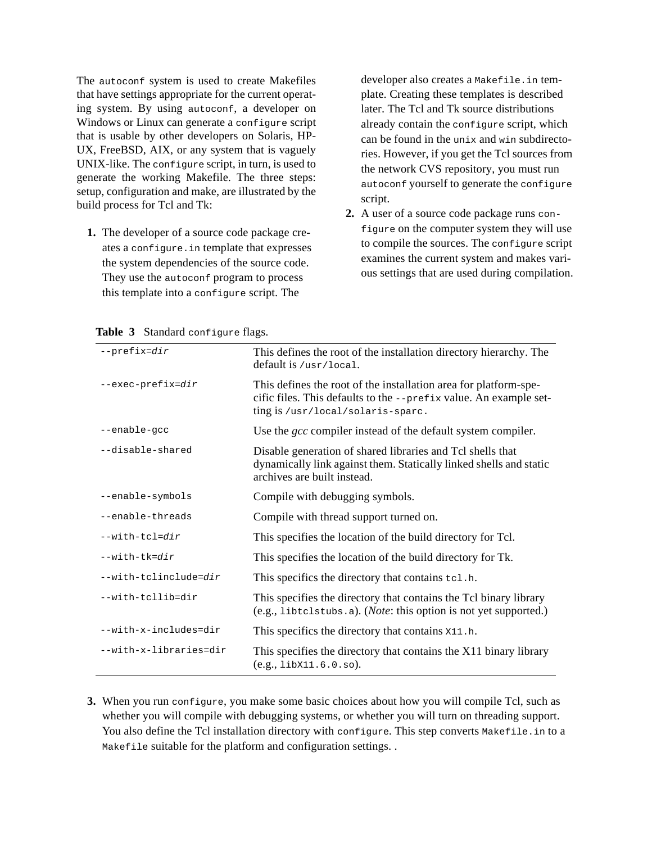The autoconf system is used to create Makefiles that have settings appropriate for the current operating system. By using autoconf, a developer on Windows or Linux can generate a configure script that is usable by other developers on Solaris, HP-UX, FreeBSD, AIX, or any system that is vaguely UNIX-like. The configure script, in turn, is used to generate the working Makefile. The three steps: setup, configuration and make, are illustrated by the build process for Tcl and Tk:

**1.** The developer of a source code package creates a configure.in template that expresses the system dependencies of the source code. They use the autoconf program to process this template into a configure script. The

developer also creates a Makefile.in template. Creating these templates is described later. The Tcl and Tk source distributions already contain the configure script, which can be found in the unix and win subdirectories. However, if you get the Tcl sources from the network CVS repository, you must run autoconf yourself to generate the configure script.

**2.** A user of a source code package runs configure on the computer system they will use to compile the sources. The configure script examines the current system and makes various settings that are used during compilation.

| $--prefix=dir$         | This defines the root of the installation directory hierarchy. The<br>$default$ is /usr/local.                                                                             |
|------------------------|----------------------------------------------------------------------------------------------------------------------------------------------------------------------------|
| --exec-prefix=dir      | This defines the root of the installation area for platform-spe-<br>cific files. This defaults to the --prefix value. An example set-<br>ting is /usr/local/solaris-sparc. |
| --enable-gcc           | Use the <i>gcc</i> compiler instead of the default system compiler.                                                                                                        |
| --disable-shared       | Disable generation of shared libraries and Tcl shells that<br>dynamically link against them. Statically linked shells and static<br>archives are built instead.            |
| --enable-symbols       | Compile with debugging symbols.                                                                                                                                            |
| --enable-threads       | Compile with thread support turned on.                                                                                                                                     |
| $--with-tcl=dir$       | This specifies the location of the build directory for Tcl.                                                                                                                |
| $--with-tk=dir$        | This specifies the location of the build directory for Tk.                                                                                                                 |
| --with-tclinclude=dir  | This specifics the directory that contains tcl.h.                                                                                                                          |
| --with-tcllib=dir      | This specifies the directory that contains the Tcl binary library<br>$(e.g., \text{libtclstubs. a}).$ ( <i>Note</i> : this option is not yet supported.)                   |
| --with-x-includes=dir  | This specifics the directory that contains x11.h.                                                                                                                          |
| --with-x-libraries=dir | This specifies the directory that contains the X11 binary library<br>$(e.g., 1$ ib $x11.6.0.s$ o.                                                                          |

#### Table 3 Standard configure flags.

**3.** When you run configure, you make some basic choices about how you will compile Tcl, such as whether you will compile with debugging systems, or whether you will turn on threading support. You also define the Tcl installation directory with configure. This step converts Makefile. in to a Makefile suitable for the platform and configuration settings. .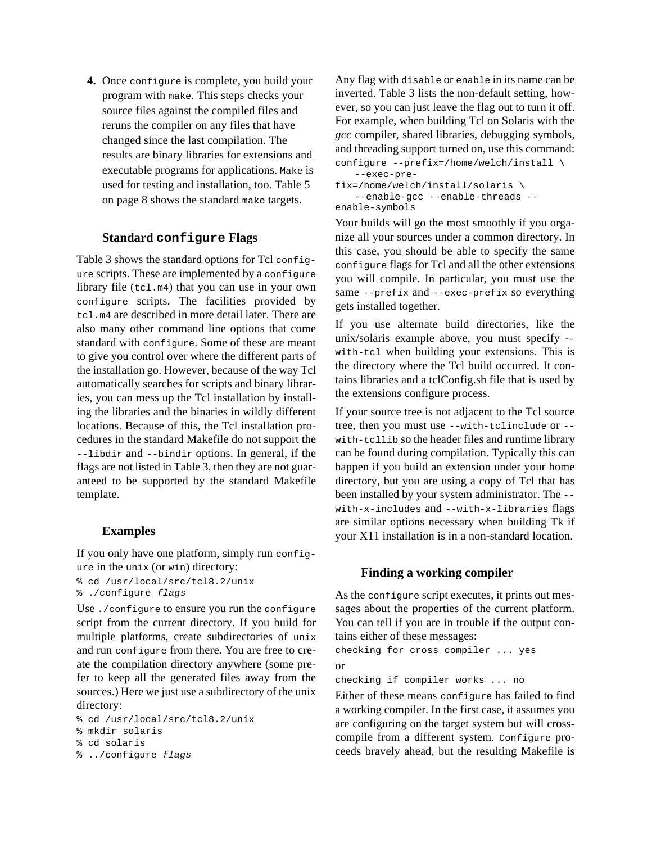**4.** Once configure is complete, you build your program with make. This steps checks your source files against the compiled files and reruns the compiler on any files that have changed since the last compilation. The results are binary libraries for extensions and executable programs for applications. Make is used for testing and installation, too. Table 5 on page 8 shows the standard make targets.

### **Standard configure Flags**

Table 3 shows the standard options for Tcl configure scripts. These are implemented by a configure library file  $(tcl.m4)$  that you can use in your own configure scripts. The facilities provided by tcl.m4 are described in more detail later. There are also many other command line options that come standard with configure. Some of these are meant to give you control over where the different parts of the installation go. However, because of the way Tcl automatically searches for scripts and binary libraries, you can mess up the Tcl installation by installing the libraries and the binaries in wildly different locations. Because of this, the Tcl installation procedures in the standard Makefile do not support the --libdir and --bindir options. In general, if the flags are not listed in Table 3, then they are not guaranteed to be supported by the standard Makefile template.

#### **Examples**

If you only have one platform, simply run configure in the unix (or win) directory:

% cd /usr/local/src/tcl8.2/unix % ./configure *flags*

Use ./configure to ensure you run the configure script from the current directory. If you build for multiple platforms, create subdirectories of unix and run configure from there. You are free to create the compilation directory anywhere (some prefer to keep all the generated files away from the sources.) Here we just use a subdirectory of the unix directory:

```
% cd /usr/local/src/tcl8.2/unix
% mkdir solaris
% cd solaris
% ../configure flags
```
Any flag with disable or enable in its name can be inverted. Table 3 lists the non-default setting, however, so you can just leave the flag out to turn it off. For example, when building Tcl on Solaris with the *gcc* compiler, shared libraries, debugging symbols, and threading support turned on, use this command:

configure --prefix=/home/welch/install \ --exec-prefix=/home/welch/install/solaris \ --enable-gcc --enable-threads - enable-symbols

Your builds will go the most smoothly if you organize all your sources under a common directory. In this case, you should be able to specify the same configure flags for Tcl and all the other extensions you will compile. In particular, you must use the same --prefix and --exec-prefix so everything gets installed together.

If you use alternate build directories, like the unix/solaris example above, you must specify - with-tcl when building your extensions. This is the directory where the Tcl build occurred. It contains libraries and a tclConfig.sh file that is used by the extensions configure process.

If your source tree is not adjacent to the Tcl source tree, then you must use --with-tclinclude or - with-tcllib so the header files and runtime library can be found during compilation. Typically this can happen if you build an extension under your home directory, but you are using a copy of Tcl that has been installed by your system administrator. The - with-x-includes and --with-x-libraries flags are similar options necessary when building Tk if your X11 installation is in a non-standard location.

#### **Finding a working compiler**

As the configure script executes, it prints out messages about the properties of the current platform. You can tell if you are in trouble if the output contains either of these messages:

checking for cross compiler ... yes or

checking if compiler works ... no

Either of these means configure has failed to find a working compiler. In the first case, it assumes you are configuring on the target system but will crosscompile from a different system. Configure proceeds bravely ahead, but the resulting Makefile is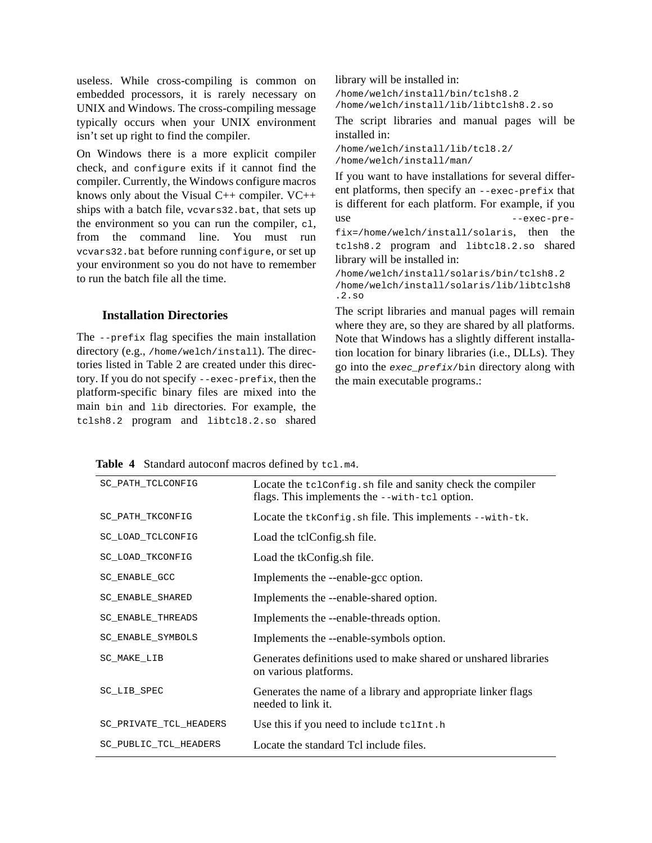useless. While cross-compiling is common on embedded processors, it is rarely necessary on UNIX and Windows. The cross-compiling message typically occurs when your UNIX environment isn't set up right to find the compiler.

On Windows there is a more explicit compiler check, and configure exits if it cannot find the compiler. Currently, the Windows configure macros knows only about the Visual C++ compiler. VC++ ships with a batch file, vcvars32.bat, that sets up the environment so you can run the compiler, cl, from the command line. You must run vcvars32.bat before running configure, or set up your environment so you do not have to remember to run the batch file all the time.

#### **Installation Directories**

The --prefix flag specifies the main installation directory (e.g., /home/welch/install). The directories listed in Table 2 are created under this directory. If you do not specify --exec-prefix, then the platform-specific binary files are mixed into the main bin and lib directories. For example, the tclsh8.2 program and libtcl8.2.so shared library will be installed in: /home/welch/install/bin/tclsh8.2

/home/welch/install/lib/libtclsh8.2.so

The script libraries and manual pages will be installed in:

```
/home/welch/install/lib/tcl8.2/
/home/welch/install/man/
```
If you want to have installations for several different platforms, then specify an --exec-prefix that is different for each platform. For example, if you use --exec-prefix=/home/welch/install/solaris, then the tclsh8.2 program and libtcl8.2.so shared library will be installed in:

/home/welch/install/solaris/bin/tclsh8.2 /home/welch/install/solaris/lib/libtclsh8  $2.80$ 

The script libraries and manual pages will remain where they are, so they are shared by all platforms. Note that Windows has a slightly different installation location for binary libraries (i.e., DLLs). They go into the *exec\_prefix*/bin directory along with the main executable programs.:

|  | <b>Table 4</b> Standard autoconf macros defined by tcl.m4. |  |  |  |  |  |
|--|------------------------------------------------------------|--|--|--|--|--|
|--|------------------------------------------------------------|--|--|--|--|--|

| SC_PATH_TCLCONFIG      | Locate the tclconfig. sh file and sanity check the compiler<br>flags. This implements the --with-tel option. |
|------------------------|--------------------------------------------------------------------------------------------------------------|
| SC_PATH_TKCONFIG       | Locate the tkconfig.sh file. This implements --with-tk.                                                      |
| SC_LOAD_TCLCONFIG      | Load the tclConfig.sh file.                                                                                  |
| SC_LOAD_TKCONFIG       | Load the tkConfig.sh file.                                                                                   |
| SC_ENABLE_GCC          | Implements the --enable-gcc option.                                                                          |
| SC_ENABLE_SHARED       | Implements the --enable-shared option.                                                                       |
| SC_ENABLE_THREADS      | Implements the --enable-threads option.                                                                      |
| SC_ENABLE_SYMBOLS      | Implements the --enable-symbols option.                                                                      |
| SC_MAKE_LIB            | Generates definitions used to make shared or unshared libraries<br>on various platforms.                     |
| SC_LIB_SPEC            | Generates the name of a library and appropriate linker flags<br>needed to link it.                           |
| SC_PRIVATE_TCL_HEADERS | Use this if you need to include telint.h                                                                     |
| SC_PUBLIC_TCL_HEADERS  | Locate the standard Tcl include files.                                                                       |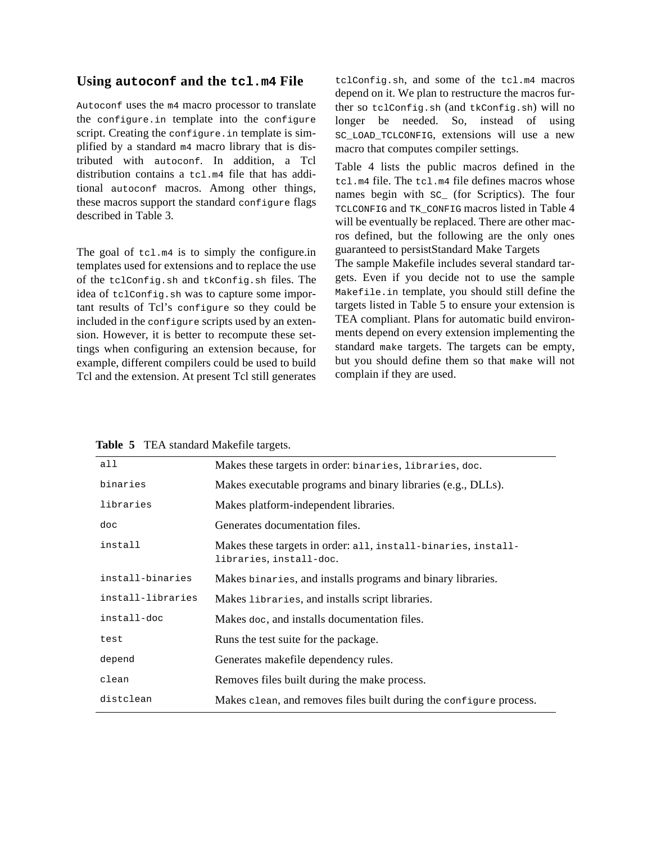### **Using autoconf and the tcl.m4 File**

Autoconf uses the m4 macro processor to translate the configure.in template into the configure script. Creating the configure. in template is simplified by a standard m4 macro library that is distributed with autoconf. In addition, a Tcl distribution contains a tcl.m4 file that has additional autoconf macros. Among other things, these macros support the standard configure flags described in Table 3.

The goal of  $tc1.m4$  is to simply the configure.in templates used for extensions and to replace the use of the tclConfig.sh and tkConfig.sh files. The idea of tclConfig.sh was to capture some important results of Tcl's configure so they could be included in the configure scripts used by an extension. However, it is better to recompute these settings when configuring an extension because, for example, different compilers could be used to build Tcl and the extension. At present Tcl still generates tclConfig.sh, and some of the tcl.m4 macros depend on it. We plan to restructure the macros further so tclConfig.sh (and tkConfig.sh) will no longer be needed. So, instead of using SC\_LOAD\_TCLCONFIG, extensions will use a new macro that computes compiler settings.

Table 4 lists the public macros defined in the tcl.m4 file. The tcl.m4 file defines macros whose names begin with sc (for Scriptics). The four TCLCONFIG and TK\_CONFIG macros listed in Table 4 will be eventually be replaced. There are other macros defined, but the following are the only ones guaranteed to persistStandard Make Targets

The sample Makefile includes several standard targets. Even if you decide not to use the sample Makefile.in template, you should still define the targets listed in Table 5 to ensure your extension is TEA compliant. Plans for automatic build environments depend on every extension implementing the standard make targets. The targets can be empty, but you should define them so that make will not complain if they are used.

|  |  |  |  | Table 5 TEA standard Makefile targets. |  |
|--|--|--|--|----------------------------------------|--|
|--|--|--|--|----------------------------------------|--|

| all               | Makes these targets in order: binaries, libraries, doc.                                  |
|-------------------|------------------------------------------------------------------------------------------|
| binaries          | Makes executable programs and binary libraries (e.g., DLLs).                             |
| libraries         | Makes platform-independent libraries.                                                    |
| doc               | Generates documentation files.                                                           |
| install           | Makes these targets in order: all, install-binaries, install-<br>libraries, install-doc. |
| install-binaries  | Makes binaries, and installs programs and binary libraries.                              |
| install-libraries | Makes libraries, and installs script libraries.                                          |
| install-doc       | Makes doc, and installs documentation files.                                             |
| test              | Runs the test suite for the package.                                                     |
| depend            | Generates makefile dependency rules.                                                     |
| clean             | Removes files built during the make process.                                             |
| distclean         | Makes clean, and removes files built during the configure process.                       |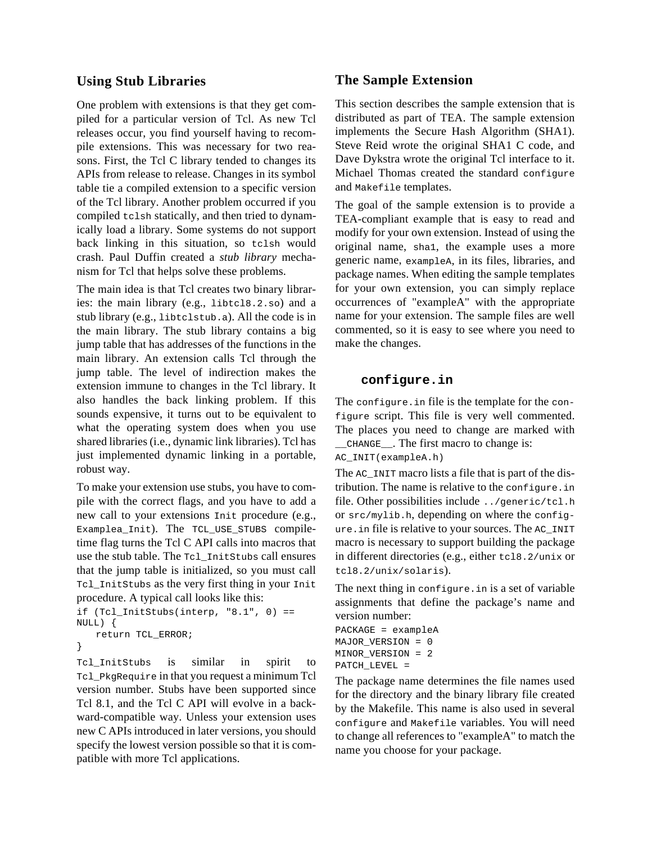## **Using Stub Libraries**

One problem with extensions is that they get compiled for a particular version of Tcl. As new Tcl releases occur, you find yourself having to recompile extensions. This was necessary for two reasons. First, the Tcl C library tended to changes its APIs from release to release. Changes in its symbol table tie a compiled extension to a specific version of the Tcl library. Another problem occurred if you compiled tclsh statically, and then tried to dynamically load a library. Some systems do not support back linking in this situation, so tclsh would crash. Paul Duffin created a *stub library* mechanism for Tcl that helps solve these problems.

The main idea is that Tcl creates two binary libraries: the main library (e.g., libtcl8.2.so) and a stub library (e.g., libtclstub.a). All the code is in the main library. The stub library contains a big jump table that has addresses of the functions in the main library. An extension calls Tcl through the jump table. The level of indirection makes the extension immune to changes in the Tcl library. It also handles the back linking problem. If this sounds expensive, it turns out to be equivalent to what the operating system does when you use shared libraries (i.e., dynamic link libraries). Tcl has just implemented dynamic linking in a portable, robust way.

To make your extension use stubs, you have to compile with the correct flags, and you have to add a new call to your extensions Init procedure (e.g., Examplea\_Init). The TCL\_USE\_STUBS compiletime flag turns the Tcl C API calls into macros that use the stub table. The Tcl\_InitStubs call ensures that the jump table is initialized, so you must call Tcl\_InitStubs as the very first thing in your Init procedure. A typical call looks like this:

```
if (Tcl_InitStubs(interp, "8.1", 0) == 
NULL) {
   return TCL_ERROR;
}
```
Tcl\_InitStubs is similar in spirit to Tcl\_PkgRequire in that you request a minimum Tcl version number. Stubs have been supported since Tcl 8.1, and the Tcl C API will evolve in a backward-compatible way. Unless your extension uses new C APIs introduced in later versions, you should specify the lowest version possible so that it is compatible with more Tcl applications.

### **The Sample Extension**

This section describes the sample extension that is distributed as part of TEA. The sample extension implements the Secure Hash Algorithm (SHA1). Steve Reid wrote the original SHA1 C code, and Dave Dykstra wrote the original Tcl interface to it. Michael Thomas created the standard configure and Makefile templates.

The goal of the sample extension is to provide a TEA-compliant example that is easy to read and modify for your own extension. Instead of using the original name, sha1, the example uses a more generic name, exampleA, in its files, libraries, and package names. When editing the sample templates for your own extension, you can simply replace occurrences of "exampleA" with the appropriate name for your extension. The sample files are well commented, so it is easy to see where you need to make the changes.

### **configure.in**

The configure.in file is the template for the configure script. This file is very well commented. The places you need to change are marked with \_\_CHANGE\_\_. The first macro to change is: AC\_INIT(exampleA.h)

The AC\_INIT macro lists a file that is part of the distribution. The name is relative to the configure.in file. Other possibilities include ../generic/tcl.h or src/mylib.h, depending on where the configure.in file is relative to your sources. The AC\_INIT macro is necessary to support building the package in different directories (e.g., either tcl8.2/unix or tcl8.2/unix/solaris).

The next thing in configure.in is a set of variable assignments that define the package's name and version number:

```
PACKAGE = exampleA
MAJOR_VERSION = 0
MINOR_VERSION = 2
PATCH_LEVEL =
```
The package name determines the file names used for the directory and the binary library file created by the Makefile. This name is also used in several configure and Makefile variables. You will need to change all references to "exampleA" to match the name you choose for your package.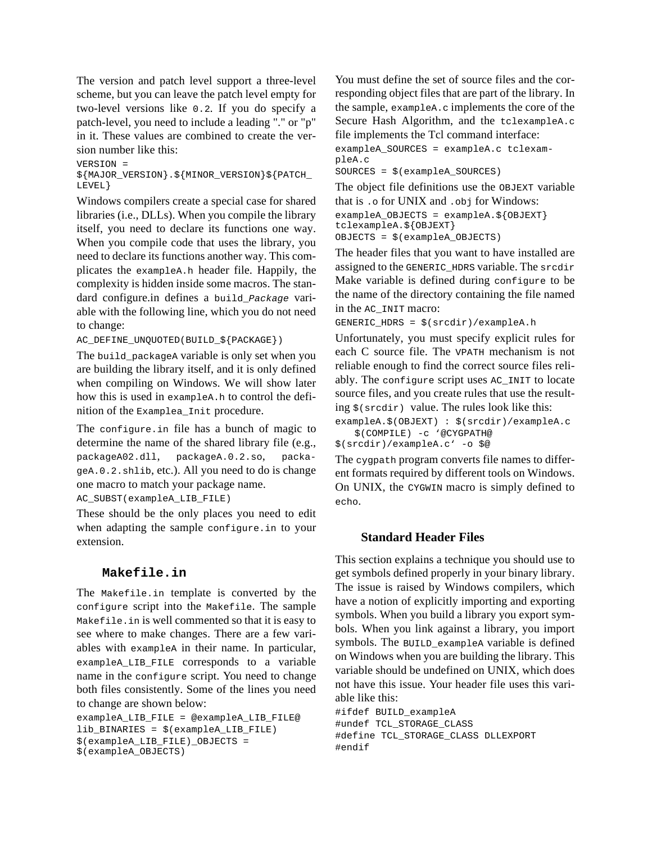The version and patch level support a three-level scheme, but you can leave the patch level empty for two-level versions like 0.2. If you do specify a patch-level, you need to include a leading "." or "p" in it. These values are combined to create the version number like this:

#### VERSION =

#### \${MAJOR\_VERSION}.\${MINOR\_VERSION}\${PATCH\_ LEVEL}

Windows compilers create a special case for shared libraries (i.e., DLLs). When you compile the library itself, you need to declare its functions one way. When you compile code that uses the library, you need to declare its functions another way. This complicates the exampleA.h header file. Happily, the complexity is hidden inside some macros. The standard configure.in defines a build\_*Package* variable with the following line, which you do not need to change:

AC\_DEFINE\_UNQUOTED(BUILD\_\${PACKAGE})

The build\_packageA variable is only set when you are building the library itself, and it is only defined when compiling on Windows. We will show later how this is used in exampleA.h to control the definition of the Examplea\_Init procedure.

The configure.in file has a bunch of magic to determine the name of the shared library file (e.g., packageA02.dll, packageA.0.2.so, packageA.0.2.shlib, etc.). All you need to do is change one macro to match your package name.

AC\_SUBST(exampleA\_LIB\_FILE)

These should be the only places you need to edit when adapting the sample configure.in to your extension.

#### **Makefile.in**

The Makefile.in template is converted by the configure script into the Makefile. The sample Makefile.in is well commented so that it is easy to see where to make changes. There are a few variables with exampleA in their name. In particular, exampleA\_LIB\_FILE corresponds to a variable name in the configure script. You need to change both files consistently. Some of the lines you need to change are shown below:

```
exampleA_LIB_FILE = @exampleA_LIB_FILE@
lib_BINARIES = $(exampleA_LIB_FILE)
$(exampleA_LIB_FILE)_OBJECTS = 
$(exampleA_OBJECTS)
```
You must define the set of source files and the corresponding object files that are part of the library. In the sample, exampleA.c implements the core of the Secure Hash Algorithm, and the tclexampleA.c file implements the Tcl command interface:

exampleA\_SOURCES = exampleA.c tclexampleA.c

SOURCES = \$(exampleA\_SOURCES)

The object file definitions use the OBJEXT variable that is .o for UNIX and .obj for Windows:

```
exampleA OBJECTS = exampleA.${OBJEXT}
tclexampleA.${OBJEXT}
OBJECTS = $(exampleA_OBJECTS)
```
The header files that you want to have installed are assigned to the GENERIC\_HDRS variable. The srcdir Make variable is defined during configure to be the name of the directory containing the file named in the AC\_INIT macro:

```
GENERIC_HDRS = $(srcdir)/exampleA.h
```
Unfortunately, you must specify explicit rules for each C source file. The VPATH mechanism is not reliable enough to find the correct source files reliably. The configure script uses AC\_INIT to locate source files, and you create rules that use the resulting  $\zeta$ (srcdir) value. The rules look like this:

exampleA.\$(OBJEXT) : \$(srcdir)/exampleA.c \$(COMPILE) -c '@CYGPATH@ \$(srcdir)/exampleA.c' -o \$@

The cygpath program converts file names to different formats required by different tools on Windows. On UNIX, the CYGWIN macro is simply defined to echo.

### **Standard Header Files**

This section explains a technique you should use to get symbols defined properly in your binary library. The issue is raised by Windows compilers, which have a notion of explicitly importing and exporting symbols. When you build a library you export symbols. When you link against a library, you import symbols. The BUILD\_exampleA variable is defined on Windows when you are building the library. This variable should be undefined on UNIX, which does not have this issue. Your header file uses this variable like this:

#ifdef BUILD\_exampleA #undef TCL\_STORAGE\_CLASS #define TCL\_STORAGE\_CLASS DLLEXPORT #endif